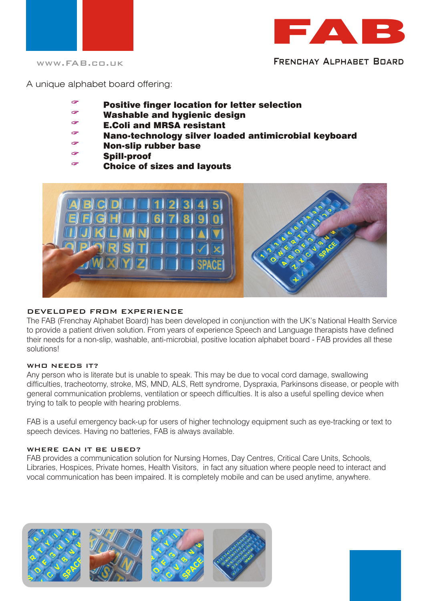



WWW.FAB.CO.UK FRENCHAY ALPHABET BOARD

A unique alphabet board offering:

- G Positive finger location for letter selection
- Washable and hygienic design
- E.Coli and MRSA resistant
- Nano-technology silver loaded antimicrobial keyboard
- $\rightarrow$ Non-slip rubber base
- G Spill-proof  $\sim$ 
	- Choice of sizes and layouts



# DEVELOPED FROM EXPERIENCE

The FAB (Frenchay Alphabet Board) has been developed in conjunction with the UK's National Health Service to provide a patient driven solution. From years of experience Speech and Language therapists have defined their needs for a non-slip, washable, anti-microbial, positive location alphabet board - FAB provides all these solutions!

# WHO NEEDS IT?

Any person who is literate but is unable to speak. This may be due to vocal cord damage, swallowing difficulties, tracheotomy, stroke, MS, MND, ALS, Rett syndrome, Dyspraxia, Parkinsons disease, or people with general communication problems, ventilation or speech difficulties. It is also a useful spelling device when trying to talk to people with hearing problems.

FAB is a useful emergency back-up for users of higher technology equipment such as eye-tracking or text to speech devices. Having no batteries, FAB is always available.

# WHERE CAN IT BE USED?

FAB provides a communication solution for Nursing Homes, Day Centres, Critical Care Units, Schools, Libraries, Hospices, Private homes, Health Visitors, in fact any situation where people need to interact and vocal communication has been impaired. It is completely mobile and can be used anytime, anywhere.